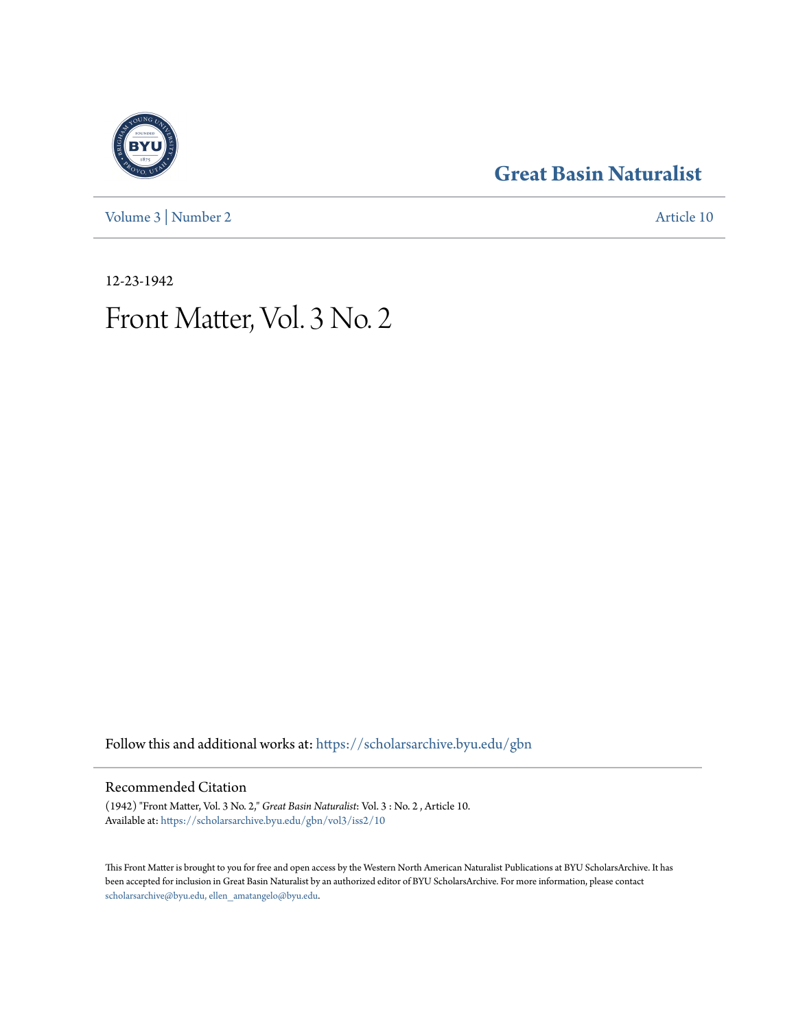[Volume 3](https://scholarsarchive.byu.edu/gbn/vol3?utm_source=scholarsarchive.byu.edu%2Fgbn%2Fvol3%2Fiss2%2F10&utm_medium=PDF&utm_campaign=PDFCoverPages) | [Number 2](https://scholarsarchive.byu.edu/gbn/vol3/iss2?utm_source=scholarsarchive.byu.edu%2Fgbn%2Fvol3%2Fiss2%2F10&utm_medium=PDF&utm_campaign=PDFCoverPages) [Article 10](https://scholarsarchive.byu.edu/gbn/vol3/iss2/10?utm_source=scholarsarchive.byu.edu%2Fgbn%2Fvol3%2Fiss2%2F10&utm_medium=PDF&utm_campaign=PDFCoverPages)

## **[Great Basin Naturalist](https://scholarsarchive.byu.edu/gbn?utm_source=scholarsarchive.byu.edu%2Fgbn%2Fvol3%2Fiss2%2F10&utm_medium=PDF&utm_campaign=PDFCoverPages)**

12-23-1942

# Front Matter, Vol. 3 No. 2

Follow this and additional works at: [https://scholarsarchive.byu.edu/gbn](https://scholarsarchive.byu.edu/gbn?utm_source=scholarsarchive.byu.edu%2Fgbn%2Fvol3%2Fiss2%2F10&utm_medium=PDF&utm_campaign=PDFCoverPages)

#### Recommended Citation

(1942) "Front Matter, Vol. 3 No. 2," *Great Basin Naturalist*: Vol. 3 : No. 2 , Article 10. Available at: [https://scholarsarchive.byu.edu/gbn/vol3/iss2/10](https://scholarsarchive.byu.edu/gbn/vol3/iss2/10?utm_source=scholarsarchive.byu.edu%2Fgbn%2Fvol3%2Fiss2%2F10&utm_medium=PDF&utm_campaign=PDFCoverPages)

This Front Matter is brought to you for free and open access by the Western North American Naturalist Publications at BYU ScholarsArchive. It has been accepted for inclusion in Great Basin Naturalist by an authorized editor of BYU ScholarsArchive. For more information, please contact [scholarsarchive@byu.edu, ellen\\_amatangelo@byu.edu.](mailto:scholarsarchive@byu.edu,%20ellen_amatangelo@byu.edu)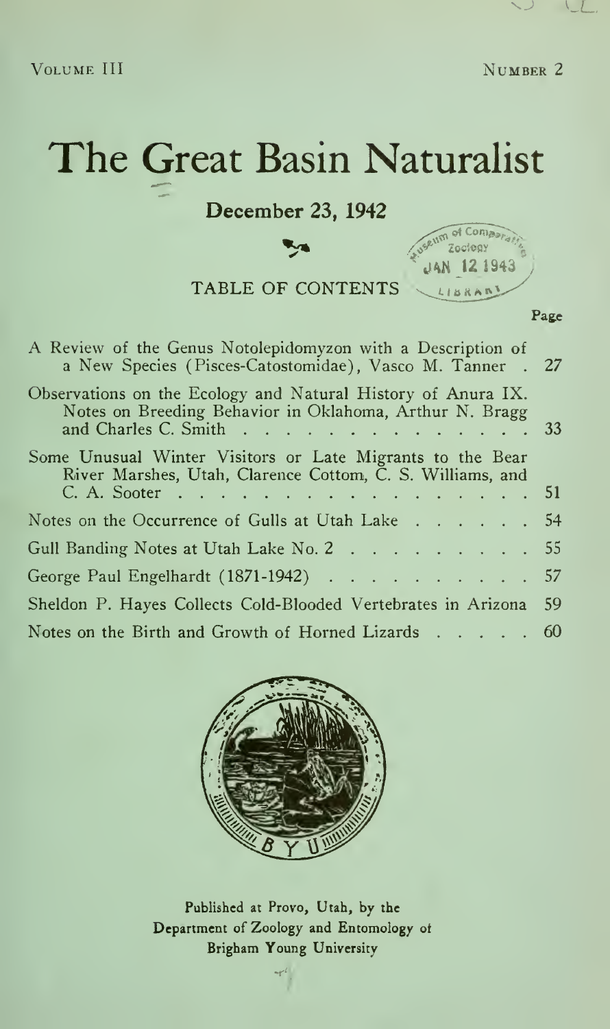December 23, 1942

**Tys** 

TABLE OF CONTENTS

| Useum of Comparati |  |
|--------------------|--|
| $UAN$ 12 1943      |  |
| LIBRAN             |  |

| A Review of the Genus Notolepidomyzon with a Description of<br>a New Species (Pisces-Catostomidae), Vasco M. Tanner . 27                           |  |
|----------------------------------------------------------------------------------------------------------------------------------------------------|--|
| Observations on the Ecology and Natural History of Anura IX.<br>Notes on Breeding Behavior in Oklahoma, Arthur N. Bragg<br>and Charles C. Smith 33 |  |
| Some Unusual Winter Visitors or Late Migrants to the Bear<br>River Marshes, Utah, Clarence Cottom, C. S. Williams, and<br>C. A. Sooter 51          |  |
| Notes on the Occurrence of Gulls at Utah Lake 54                                                                                                   |  |
| Gull Banding Notes at Utah Lake No. 2 55                                                                                                           |  |
| George Paul Engelhardt (1871-1942) 57                                                                                                              |  |
| Sheldon P. Hayes Collects Cold-Blooded Vertebrates in Arizona 59                                                                                   |  |
| Notes on the Birth and Growth of Horned Lizards $\dots$ 60                                                                                         |  |



Published at Provo, Utah, by the Department of Zoology and Entomology ot Brigham Young University

Page